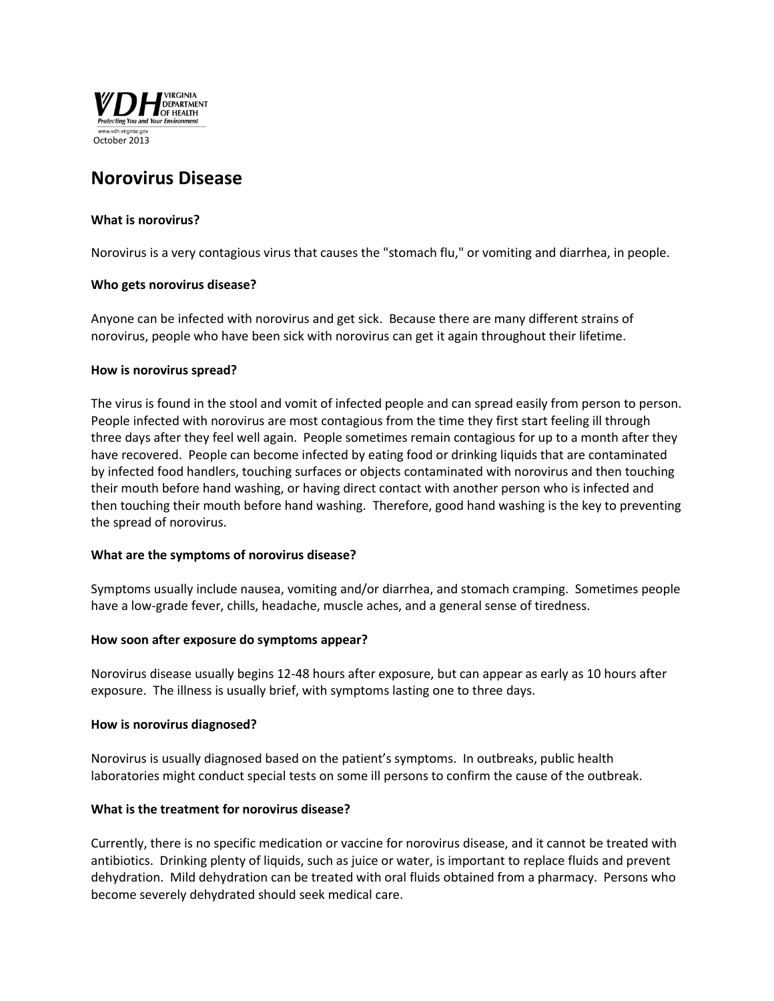

# **Norovirus Disease**

# **What is norovirus?**

Norovirus is a very contagious virus that causes the "stomach flu," or vomiting and diarrhea, in people.

## **Who gets norovirus disease?**

Anyone can be infected with norovirus and get sick. Because there are many different strains of norovirus, people who have been sick with norovirus can get it again throughout their lifetime.

#### **How is norovirus spread?**

The virus is found in the stool and vomit of infected people and can spread easily from person to person. People infected with norovirus are most contagious from the time they first start feeling ill through three days after they feel well again. People sometimes remain contagious for up to a month after they have recovered. People can become infected by eating food or drinking liquids that are contaminated by infected food handlers, touching surfaces or objects contaminated with norovirus and then touching their mouth before hand washing, or having direct contact with another person who is infected and then touching their mouth before hand washing. Therefore, good hand washing is the key to preventing the spread of norovirus.

#### **What are the symptoms of norovirus disease?**

Symptoms usually include nausea, vomiting and/or diarrhea, and stomach cramping. Sometimes people have a low-grade fever, chills, headache, muscle aches, and a general sense of tiredness.

#### **How soon after exposure do symptoms appear?**

Norovirus disease usually begins 12-48 hours after exposure, but can appear as early as 10 hours after exposure. The illness is usually brief, with symptoms lasting one to three days.

#### **How is norovirus diagnosed?**

Norovirus is usually diagnosed based on the patient's symptoms. In outbreaks, public health laboratories might conduct special tests on some ill persons to confirm the cause of the outbreak.

# **What is the treatment for norovirus disease?**

Currently, there is no specific medication or vaccine for norovirus disease, and it cannot be treated with antibiotics. Drinking plenty of liquids, such as juice or water, is important to replace fluids and prevent dehydration. Mild dehydration can be treated with oral fluids obtained from a pharmacy. Persons who become severely dehydrated should seek medical care.